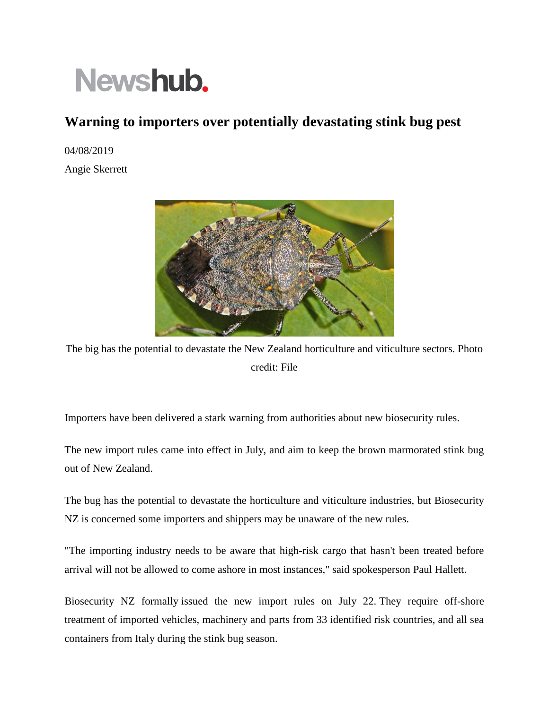## Newshub.

## **Warning to importers over potentially devastating stink bug pest**

04/08/2019

Angie Skerrett



The big has the potential to devastate the New Zealand horticulture and viticulture sectors. Photo credit: File

Importers have been delivered a stark warning from authorities about new biosecurity rules.

The new import rules came into effect in July, and aim to keep the brown marmorated stink bug out of New Zealand.

The bug has the potential to devastate the horticulture and viticulture industries, but Biosecurity NZ is concerned some importers and shippers may be unaware of the new rules.

"The importing industry needs to be aware that high-risk cargo that hasn't been treated before arrival will not be allowed to come ashore in most instances," said spokesperson Paul Hallett.

Biosecurity NZ formally issued the new import rules on July 22. They require off-shore treatment of imported vehicles, machinery and parts from 33 identified risk countries, and all sea containers from Italy during the stink bug season.